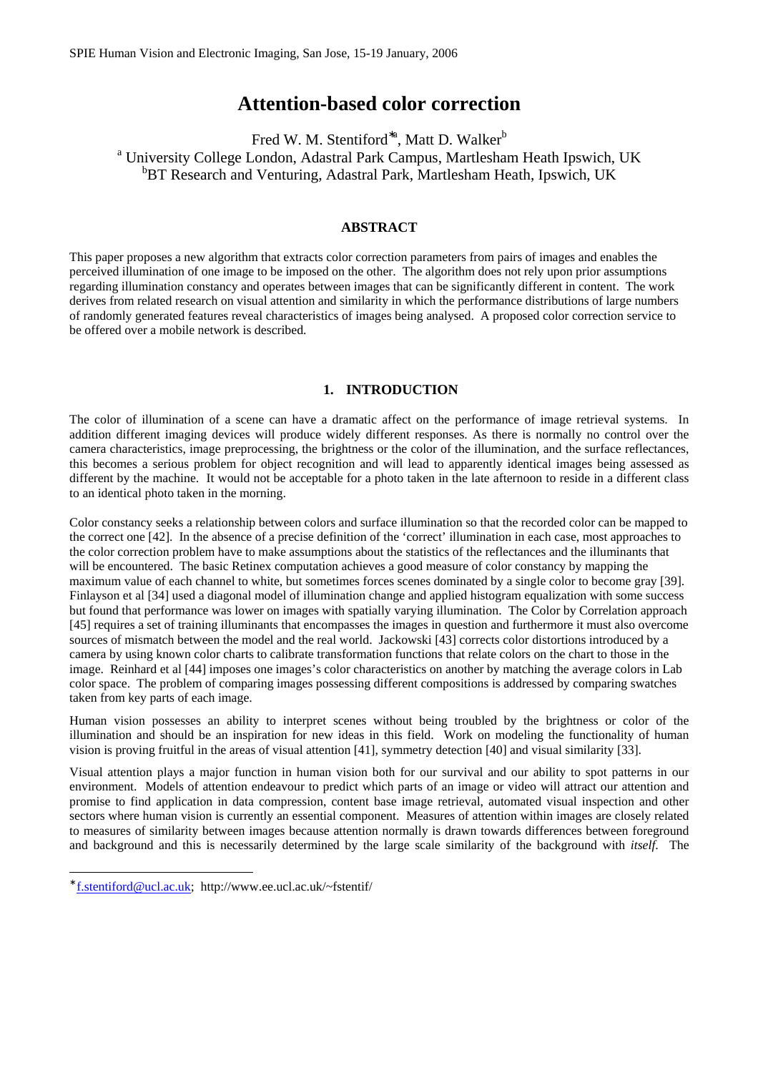# **Attention-based color correction**

Fred W. M. Stentiford<sup>\*a</sup>, Matt D. Walker<sup>b</sup> <sup>a</sup> University College London, Adastral Park Campus, Martlesham Heath Ipswich, UK  ${}^{b}BT$  Research and Venturing, Adastral Park, Martlesham Heath, Ipswich, UK

### **ABSTRACT**

This paper proposes a new algorithm that extracts color correction parameters from pairs of images and enables the perceived illumination of one image to be imposed on the other. The algorithm does not rely upon prior assumptions regarding illumination constancy and operates between images that can be significantly different in content. The work derives from related research on visual attention and similarity in which the performance distributions of large numbers of randomly generated features reveal characteristics of images being analysed. A proposed color correction service to be offered over a mobile network is described.

### **1. INTRODUCTION**

The color of illumination of a scene can have a dramatic affect on the performance of image retrieval systems. In addition different imaging devices will produce widely different responses. As there is normally no control over the camera characteristics, image preprocessing, the brightness or the color of the illumination, and the surface reflectances, this becomes a serious problem for object recognition and will lead to apparently identical images being assessed as different by the machine. It would not be acceptable for a photo taken in the late afternoon to reside in a different class to an identical photo taken in the morning.

Color constancy seeks a relationship between colors and surface illumination so that the recorded color can be mapped to the correct one [42]. In the absence of a precise definition of the 'correct' illumination in each case, most approaches to the color correction problem have to make assumptions about the statistics of the reflectances and the illuminants that will be encountered. The basic Retinex computation achieves a good measure of color constancy by mapping the maximum value of each channel to white, but sometimes forces scenes dominated by a single color to become gray [39]. Finlayson et al [34] used a diagonal model of illumination change and applied histogram equalization with some success but found that performance was lower on images with spatially varying illumination. The Color by Correlation approach [45] requires a set of training illuminants that encompasses the images in question and furthermore it must also overcome sources of mismatch between the model and the real world. Jackowski [43] corrects color distortions introduced by a camera by using known color charts to calibrate transformation functions that relate colors on the chart to those in the image. Reinhard et al [44] imposes one images's color characteristics on another by matching the average colors in Lab color space. The problem of comparing images possessing different compositions is addressed by comparing swatches taken from key parts of each image.

Human vision possesses an ability to interpret scenes without being troubled by the brightness or color of the illumination and should be an inspiration for new ideas in this field. Work on modeling the functionality of human vision is proving fruitful in the areas of visual attention [41], symmetry detection [40] and visual similarity [33].

Visual attention plays a major function in human vision both for our survival and our ability to spot patterns in our environment. Models of attention endeavour to predict which parts of an image or video will attract our attention and promise to find application in data compression, content base image retrieval, automated visual inspection and other sectors where human vision is currently an essential component. Measures of attention within images are closely related to measures of similarity between images because attention normally is drawn towards differences between foreground and background and this is necessarily determined by the large scale similarity of the background with *itself*. The

-

<sup>∗</sup> f.stentiford@ucl.ac.uk; http://www.ee.ucl.ac.uk/~fstentif/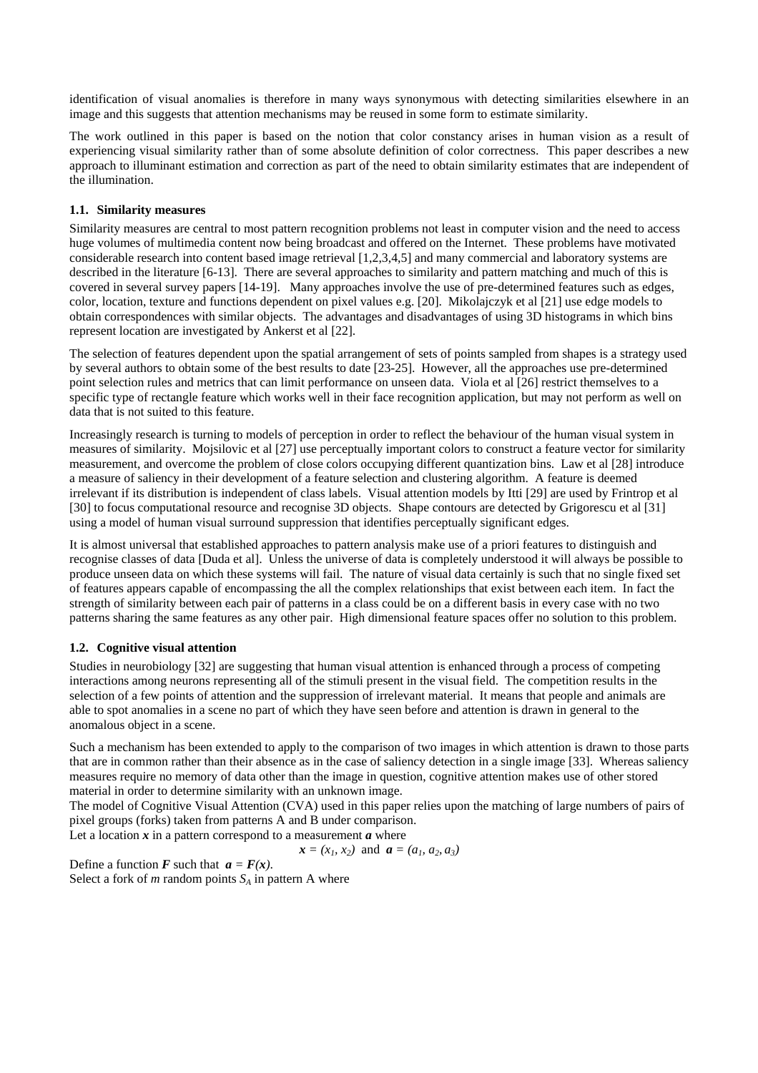identification of visual anomalies is therefore in many ways synonymous with detecting similarities elsewhere in an image and this suggests that attention mechanisms may be reused in some form to estimate similarity.

The work outlined in this paper is based on the notion that color constancy arises in human vision as a result of experiencing visual similarity rather than of some absolute definition of color correctness. This paper describes a new approach to illuminant estimation and correction as part of the need to obtain similarity estimates that are independent of the illumination.

## **1.1. Similarity measures**

Similarity measures are central to most pattern recognition problems not least in computer vision and the need to access huge volumes of multimedia content now being broadcast and offered on the Internet. These problems have motivated considerable research into content based image retrieval [1,2,3,4,5] and many commercial and laboratory systems are described in the literature [6-13]. There are several approaches to similarity and pattern matching and much of this is covered in several survey papers [14-19]. Many approaches involve the use of pre-determined features such as edges, color, location, texture and functions dependent on pixel values e.g. [20]. Mikolajczyk et al [21] use edge models to obtain correspondences with similar objects. The advantages and disadvantages of using 3D histograms in which bins represent location are investigated by Ankerst et al [22].

The selection of features dependent upon the spatial arrangement of sets of points sampled from shapes is a strategy used by several authors to obtain some of the best results to date [23-25]. However, all the approaches use pre-determined point selection rules and metrics that can limit performance on unseen data. Viola et al [26] restrict themselves to a specific type of rectangle feature which works well in their face recognition application, but may not perform as well on data that is not suited to this feature.

Increasingly research is turning to models of perception in order to reflect the behaviour of the human visual system in measures of similarity. Mojsilovic et al [27] use perceptually important colors to construct a feature vector for similarity measurement, and overcome the problem of close colors occupying different quantization bins. Law et al [28] introduce a measure of saliency in their development of a feature selection and clustering algorithm. A feature is deemed irrelevant if its distribution is independent of class labels. Visual attention models by Itti [29] are used by Frintrop et al [30] to focus computational resource and recognise 3D objects. Shape contours are detected by Grigorescu et al [31] using a model of human visual surround suppression that identifies perceptually significant edges.

It is almost universal that established approaches to pattern analysis make use of a priori features to distinguish and recognise classes of data [Duda et al]. Unless the universe of data is completely understood it will always be possible to produce unseen data on which these systems will fail. The nature of visual data certainly is such that no single fixed set of features appears capable of encompassing the all the complex relationships that exist between each item. In fact the strength of similarity between each pair of patterns in a class could be on a different basis in every case with no two patterns sharing the same features as any other pair. High dimensional feature spaces offer no solution to this problem.

# **1.2. Cognitive visual attention**

Studies in neurobiology [32] are suggesting that human visual attention is enhanced through a process of competing interactions among neurons representing all of the stimuli present in the visual field. The competition results in the selection of a few points of attention and the suppression of irrelevant material. It means that people and animals are able to spot anomalies in a scene no part of which they have seen before and attention is drawn in general to the anomalous object in a scene.

Such a mechanism has been extended to apply to the comparison of two images in which attention is drawn to those parts that are in common rather than their absence as in the case of saliency detection in a single image [33]. Whereas saliency measures require no memory of data other than the image in question, cognitive attention makes use of other stored material in order to determine similarity with an unknown image.

The model of Cognitive Visual Attention (CVA) used in this paper relies upon the matching of large numbers of pairs of pixel groups (forks) taken from patterns A and B under comparison.

Let a location  $x$  in a pattern correspond to a measurement  $a$  where

 $x = (x_1, x_2)$  and  $a = (a_1, a_2, a_3)$ 

Define a function  $\vec{F}$  such that  $\vec{a} = \vec{F}(\vec{x})$ . Select a fork of *m* random points  $S_A$  in pattern A where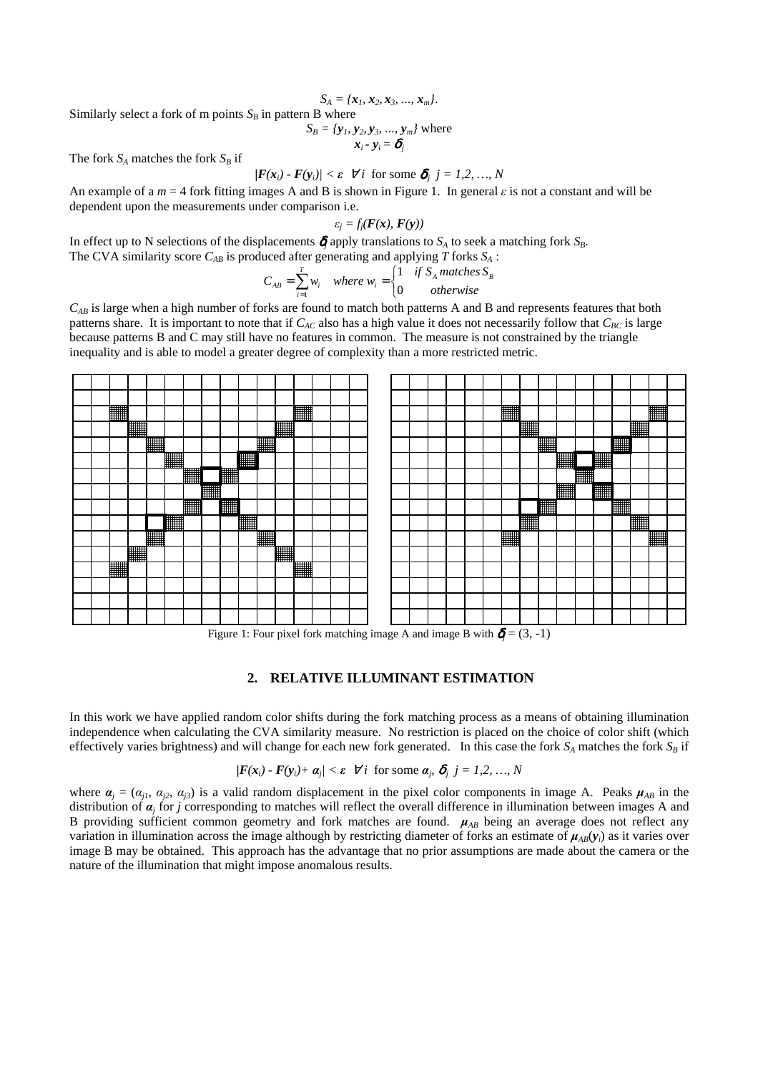$S_A = \{x_1, x_2, x_3, \ldots, x_m\}.$ 

Similarly select a fork of m points  $S_B$  in pattern B where

$$
S_B = {\mathbf{y}_1, \mathbf{y}_2, \mathbf{y}_3, ..., \mathbf{y}_m} \text{ where}
$$

$$
\mathbf{x}_i - \mathbf{y}_i = \boldsymbol{\delta}_j
$$

The fork  $S_A$  matches the fork  $S_B$  if

$$
|\mathbf{F}(\mathbf{x}_i) - \mathbf{F}(\mathbf{y}_i)| < \varepsilon \quad \forall \, i \, \text{ for some } \delta_j \, j = 1, 2, \, \dots, \, N
$$

An example of a  $m = 4$  fork fitting images A and B is shown in Figure 1. In general  $\varepsilon$  is not a constant and will be dependent upon the measurements under comparison i.e.

$$
\varepsilon_j = f_j(\boldsymbol{F}(\boldsymbol{x}), \boldsymbol{F}(\boldsymbol{y}))
$$

In effect up to N selections of the displacements  $\delta$  apply translations to  $S_A$  to seek a matching fork  $S_B$ . The CVA similarity score *CAB* is produced after generating and applying *T* forks *SA* :

$$
C_{AB} = \sum_{i=1}^{T} w_i \quad \text{where } w_i = \begin{cases} 1 & \text{if } S_A \text{ matches } S_B \\ 0 & \text{otherwise} \end{cases}
$$

*CAB* is large when a high number of forks are found to match both patterns A and B and represents features that both patterns share. It is important to note that if *CAC* also has a high value it does not necessarily follow that *CBC* is large because patterns B and C may still have no features in common. The measure is not constrained by the triangle inequality and is able to model a greater degree of complexity than a more restricted metric.



Figure 1: Four pixel fork matching image A and image B with  $\delta = (3, -1)$ 

# **2. RELATIVE ILLUMINANT ESTIMATION**

In this work we have applied random color shifts during the fork matching process as a means of obtaining illumination independence when calculating the CVA similarity measure. No restriction is placed on the choice of color shift (which effectively varies brightness) and will change for each new fork generated. In this case the fork  $S_A$  matches the fork  $S_B$  if

$$
|\mathbf{F}(\mathbf{x}_i) - \mathbf{F}(\mathbf{y}_i) + \mathbf{a}_j| < \varepsilon \quad \forall \, i \, \text{ for some } \mathbf{a}_j, \ \delta_j \, j = 1, 2, \dots, N
$$

where  $a_j = (a_{j1}, a_{j2}, a_{j3})$  is a valid random displacement in the pixel color components in image A. Peaks  $\mu_{AB}$  in the distribution of α*<sup>j</sup>* for *j* corresponding to matches will reflect the overall difference in illumination between images A and B providing sufficient common geometry and fork matches are found.  $\mu_{AB}$  being an average does not reflect any variation in illumination across the image although by restricting diameter of forks an estimate of  $\mu_{AB}(y_i)$  as it varies over image B may be obtained. This approach has the advantage that no prior assumptions are made about the camera or the nature of the illumination that might impose anomalous results.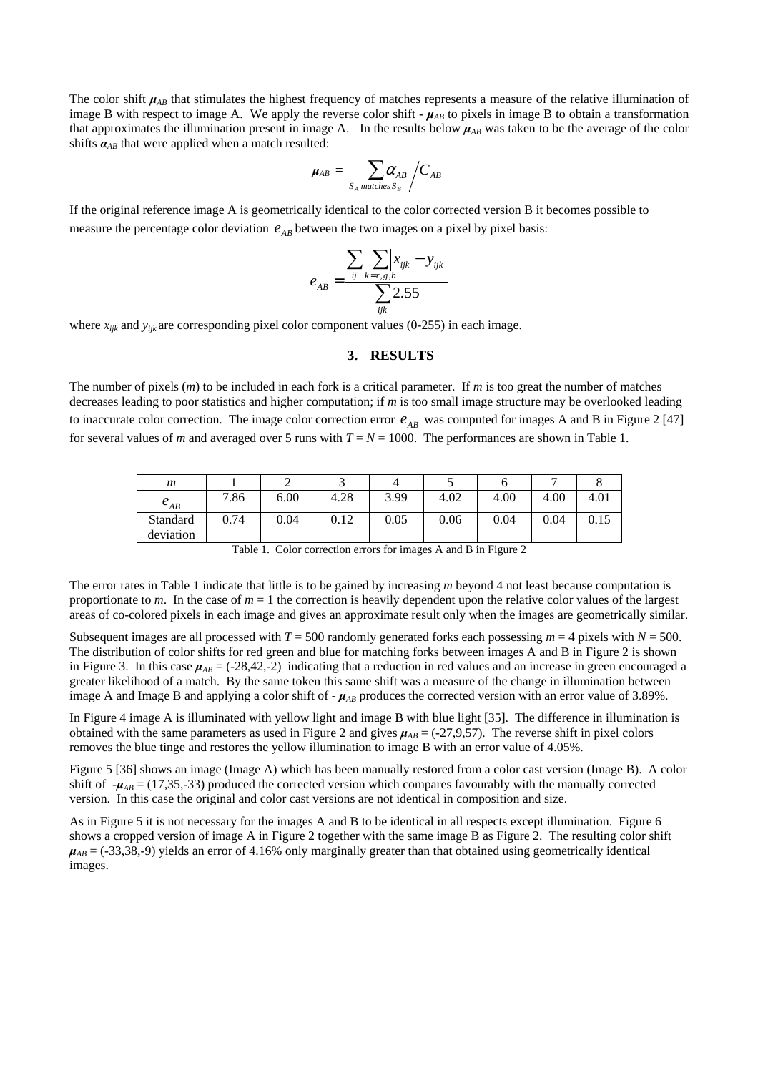The color shift  $\mu_{AB}$  that stimulates the highest frequency of matches represents a measure of the relative illumination of image B with respect to image A. We apply the reverse color shift -  $\mu_{AB}$  to pixels in image B to obtain a transformation that approximates the illumination present in image A. In the results below  $\mu_{AB}$  was taken to be the average of the color shifts  $a_{AB}$  that were applied when a match resulted:

$$
\mu_{AB} = \sum_{S_A \text{ matches } S_B} \alpha_{AB} / C_{AB}
$$

If the original reference image A is geometrically identical to the color corrected version B it becomes possible to measure the percentage color deviation  $e_{AB}$  between the two images on a pixel by pixel basis:

$$
e_{AB} = \frac{\sum_{ij} \sum_{k=r,g,b} \left| x_{ijk} - y_{ijk} \right|}{\sum_{ijk} 2.55}
$$

where *xijk* and *yijk* are corresponding pixel color component values (0-255) in each image.

## **3. RESULTS**

The number of pixels (*m*) to be included in each fork is a critical parameter. If *m* is too great the number of matches decreases leading to poor statistics and higher computation; if *m* is too small image structure may be overlooked leading to inaccurate color correction. The image color correction error  $e_{AB}$  was computed for images A and B in Figure 2 [47] for several values of *m* and averaged over 5 runs with  $T = N = 1000$ . The performances are shown in Table 1.

| m                     |      |      |      |      | ັ    |      |      |      |
|-----------------------|------|------|------|------|------|------|------|------|
| $e_{AB}$              | 7.86 | 6.00 | 4.28 | 3.99 | 4.02 | 4.00 | 4.00 | 4.01 |
| Standard<br>deviation | 0.74 | 0.04 | 0.12 | 0.05 | 0.06 | 0.04 | 0.04 | 0.15 |

Table 1. Color correction errors for images A and B in Figure 2

The error rates in Table 1 indicate that little is to be gained by increasing *m* beyond 4 not least because computation is proportionate to *m*. In the case of *m* = 1 the correction is heavily dependent upon the relative color values of the largest areas of co-colored pixels in each image and gives an approximate result only when the images are geometrically similar.

Subsequent images are all processed with  $T = 500$  randomly generated forks each possessing  $m = 4$  pixels with  $N = 500$ . The distribution of color shifts for red green and blue for matching forks between images A and B in Figure 2 is shown in Figure 3. In this case  $\mu_{AB} = (-28.42,-2)$  indicating that a reduction in red values and an increase in green encouraged a greater likelihood of a match. By the same token this same shift was a measure of the change in illumination between image A and Image B and applying a color shift of  $-\mu_{AB}$  produces the corrected version with an error value of 3.89%.

In Figure 4 image A is illuminated with yellow light and image B with blue light [35]. The difference in illumination is obtained with the same parameters as used in Figure 2 and gives  $\mu_{AB} = (-27.9.57)$ . The reverse shift in pixel colors removes the blue tinge and restores the yellow illumination to image B with an error value of 4.05%.

Figure 5 [36] shows an image (Image A) which has been manually restored from a color cast version (Image B). A color shift of  $-\mu_{AB} = (17,35,-33)$  produced the corrected version which compares favourably with the manually corrected version. In this case the original and color cast versions are not identical in composition and size.

As in Figure 5 it is not necessary for the images A and B to be identical in all respects except illumination. Figure 6 shows a cropped version of image A in Figure 2 together with the same image B as Figure 2. The resulting color shift  $\mu_{AB}$  = (-33,38,-9) yields an error of 4.16% only marginally greater than that obtained using geometrically identical images.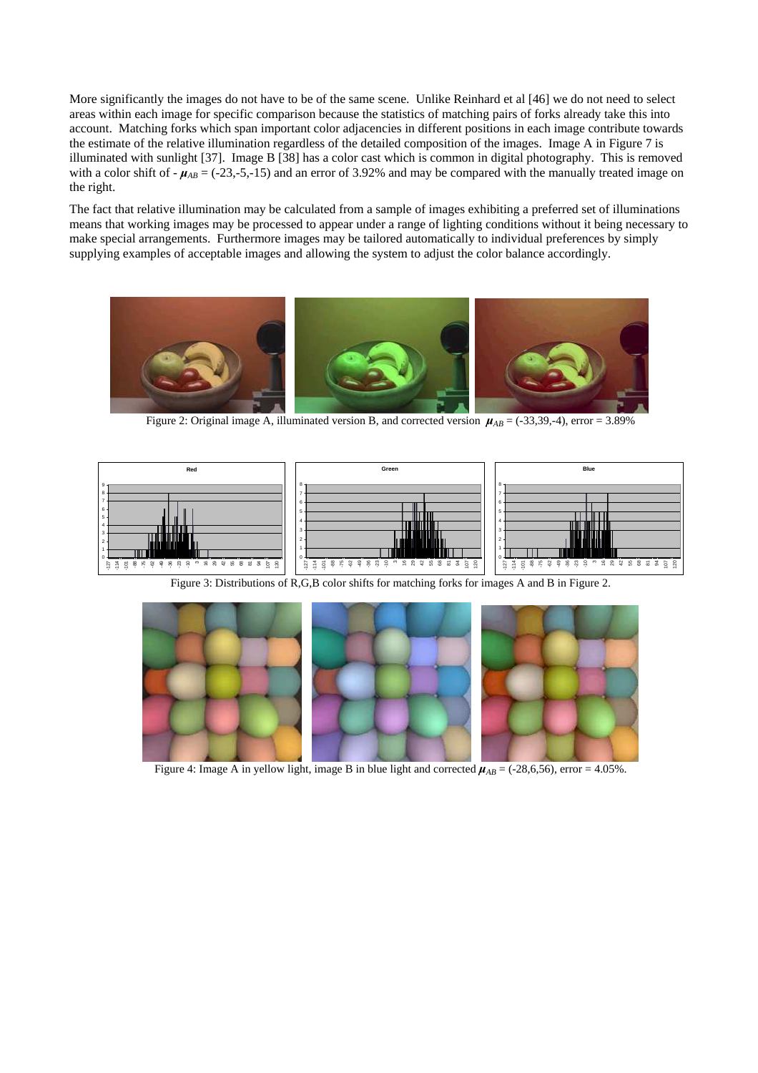More significantly the images do not have to be of the same scene. Unlike Reinhard et al [46] we do not need to select areas within each image for specific comparison because the statistics of matching pairs of forks already take this into account. Matching forks which span important color adjacencies in different positions in each image contribute towards the estimate of the relative illumination regardless of the detailed composition of the images. Image A in Figure 7 is illuminated with sunlight [37]. Image B [38] has a color cast which is common in digital photography. This is removed with a color shift of  $-\mu_{AB} = (-23, -5, -15)$  and an error of 3.92% and may be compared with the manually treated image on the right.

The fact that relative illumination may be calculated from a sample of images exhibiting a preferred set of illuminations means that working images may be processed to appear under a range of lighting conditions without it being necessary to make special arrangements. Furthermore images may be tailored automatically to individual preferences by simply supplying examples of acceptable images and allowing the system to adjust the color balance accordingly.



Figure 2: Original image A, illuminated version B, and corrected version  $\mu_{AB} = (-33,39,-4)$ , error = 3.89%



Figure 3: Distributions of R,G,B color shifts for matching forks for images A and B in Figure 2.



Figure 4: Image A in yellow light, image B in blue light and corrected  $\mu_{AB} = (-28,6,56)$ , error = 4.05%.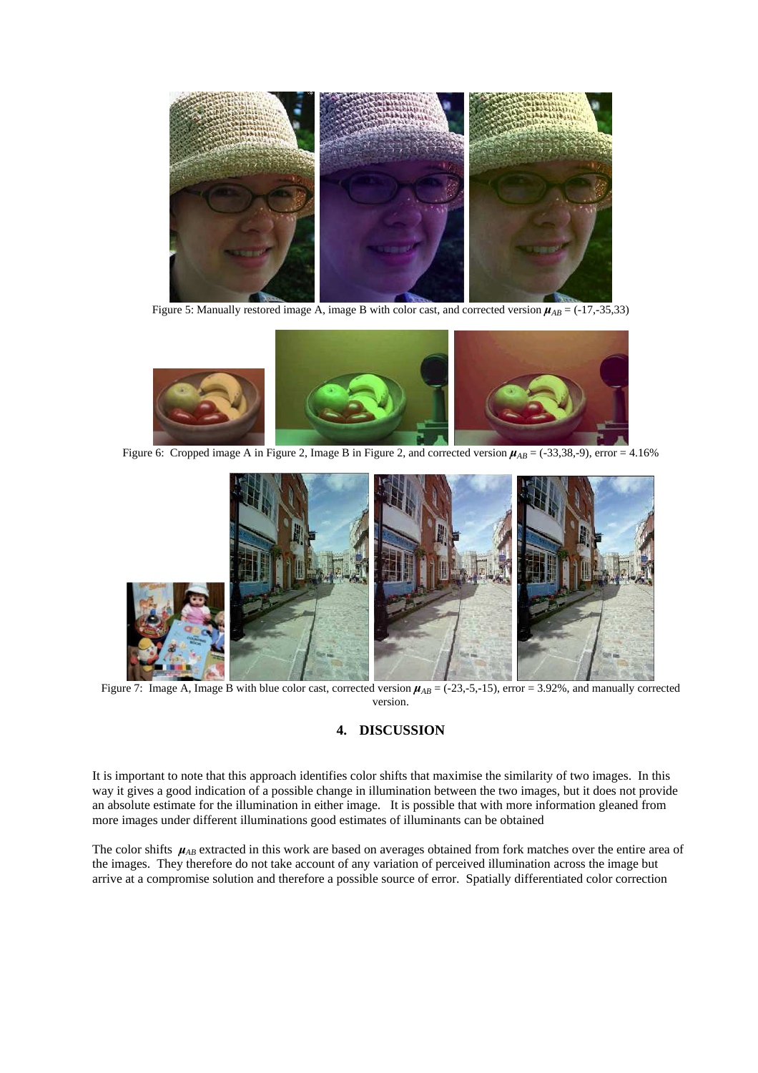

Figure 5: Manually restored image A, image B with color cast, and corrected version  $\mu_{AB} = (-17, -35, 33)$ 



Figure 6: Cropped image A in Figure 2, Image B in Figure 2, and corrected version  $\mu_{AB} = (-33,38,-9)$ , error = 4.16%



Figure 7: Image A, Image B with blue color cast, corrected version  $\mu_{AB} = (-23, -5, -15)$ , error = 3.92%, and manually corrected version.

#### **4. DISCUSSION**

It is important to note that this approach identifies color shifts that maximise the similarity of two images. In this way it gives a good indication of a possible change in illumination between the two images, but it does not provide an absolute estimate for the illumination in either image. It is possible that with more information gleaned from more images under different illuminations good estimates of illuminants can be obtained

The color shifts  $\mu_{AB}$  extracted in this work are based on averages obtained from fork matches over the entire area of the images. They therefore do not take account of any variation of perceived illumination across the image but arrive at a compromise solution and therefore a possible source of error. Spatially differentiated color correction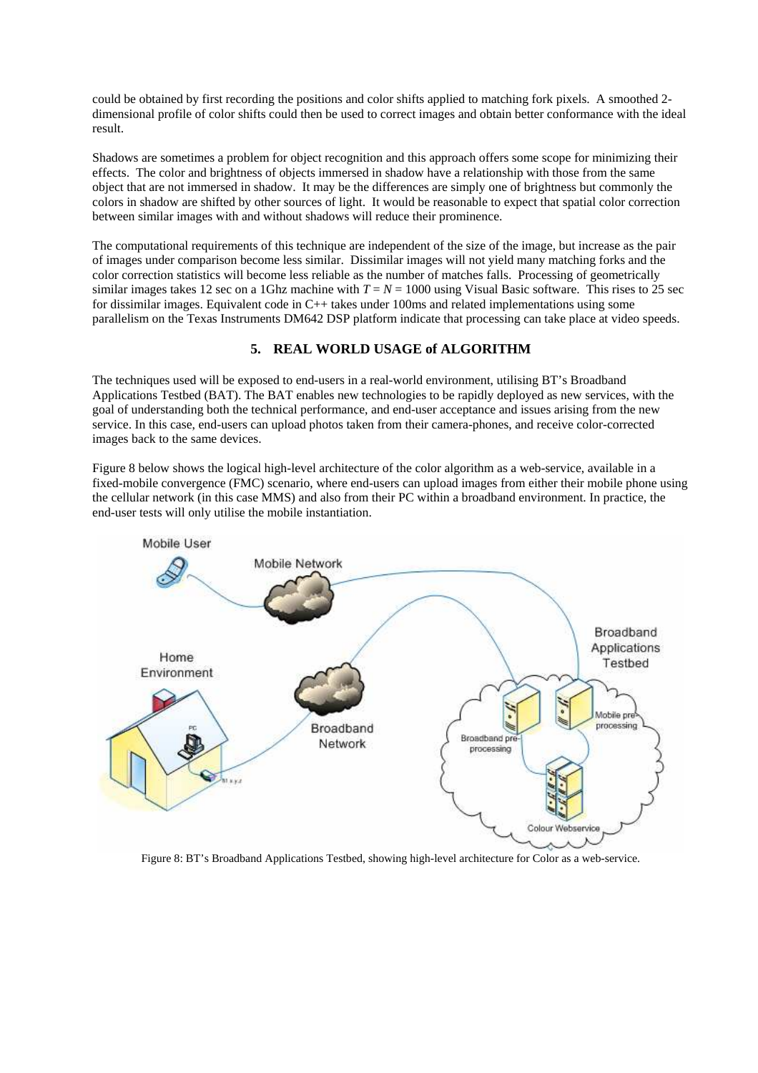could be obtained by first recording the positions and color shifts applied to matching fork pixels. A smoothed 2 dimensional profile of color shifts could then be used to correct images and obtain better conformance with the ideal result.

Shadows are sometimes a problem for object recognition and this approach offers some scope for minimizing their effects. The color and brightness of objects immersed in shadow have a relationship with those from the same object that are not immersed in shadow. It may be the differences are simply one of brightness but commonly the colors in shadow are shifted by other sources of light. It would be reasonable to expect that spatial color correction between similar images with and without shadows will reduce their prominence.

The computational requirements of this technique are independent of the size of the image, but increase as the pair of images under comparison become less similar. Dissimilar images will not yield many matching forks and the color correction statistics will become less reliable as the number of matches falls. Processing of geometrically similar images takes 12 sec on a 1Ghz machine with  $T = N = 1000$  using Visual Basic software. This rises to 25 sec for dissimilar images. Equivalent code in C++ takes under 100ms and related implementations using some parallelism on the Texas Instruments DM642 DSP platform indicate that processing can take place at video speeds.

## **5. REAL WORLD USAGE of ALGORITHM**

The techniques used will be exposed to end-users in a real-world environment, utilising BT's Broadband Applications Testbed (BAT). The BAT enables new technologies to be rapidly deployed as new services, with the goal of understanding both the technical performance, and end-user acceptance and issues arising from the new service. In this case, end-users can upload photos taken from their camera-phones, and receive color-corrected images back to the same devices.

Figure 8 below shows the logical high-level architecture of the color algorithm as a web-service, available in a fixed-mobile convergence (FMC) scenario, where end-users can upload images from either their mobile phone using the cellular network (in this case MMS) and also from their PC within a broadband environment. In practice, the end-user tests will only utilise the mobile instantiation.



Figure 8: BT's Broadband Applications Testbed, showing high-level architecture for Color as a web-service.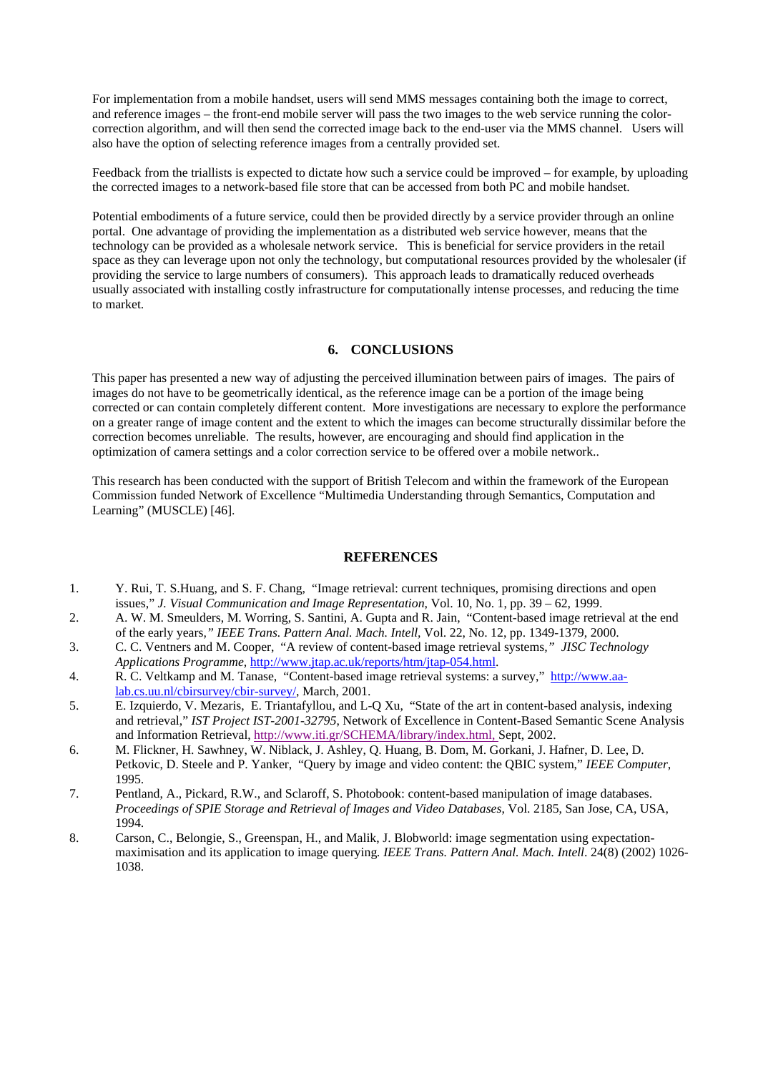For implementation from a mobile handset, users will send MMS messages containing both the image to correct, and reference images – the front-end mobile server will pass the two images to the web service running the colorcorrection algorithm, and will then send the corrected image back to the end-user via the MMS channel. Users will also have the option of selecting reference images from a centrally provided set.

Feedback from the triallists is expected to dictate how such a service could be improved – for example, by uploading the corrected images to a network-based file store that can be accessed from both PC and mobile handset.

Potential embodiments of a future service, could then be provided directly by a service provider through an online portal. One advantage of providing the implementation as a distributed web service however, means that the technology can be provided as a wholesale network service. This is beneficial for service providers in the retail space as they can leverage upon not only the technology, but computational resources provided by the wholesaler (if providing the service to large numbers of consumers). This approach leads to dramatically reduced overheads usually associated with installing costly infrastructure for computationally intense processes, and reducing the time to market.

# **6. CONCLUSIONS**

This paper has presented a new way of adjusting the perceived illumination between pairs of images. The pairs of images do not have to be geometrically identical, as the reference image can be a portion of the image being corrected or can contain completely different content. More investigations are necessary to explore the performance on a greater range of image content and the extent to which the images can become structurally dissimilar before the correction becomes unreliable. The results, however, are encouraging and should find application in the optimization of camera settings and a color correction service to be offered over a mobile network..

This research has been conducted with the support of British Telecom and within the framework of the European Commission funded Network of Excellence "Multimedia Understanding through Semantics, Computation and Learning" (MUSCLE) [46].

#### **REFERENCES**

- 1. Y. Rui, T. S.Huang, and S. F. Chang, "Image retrieval: current techniques, promising directions and open issues," *J. Visual Communication and Image Representation*, Vol. 10, No. 1, pp. 39 – 62, 1999.
- 2. A. W. M. Smeulders, M. Worring, S. Santini, A. Gupta and R. Jain, "Content-based image retrieval at the end of the early years*," IEEE Trans. Pattern Anal. Mach. Intell,* Vol. 22, No. 12, pp. 1349-1379, 2000.
- 3. C. C. Ventners and M. Cooper, "A review of content-based image retrieval systems*," JISC Technology Applications Programme,* http://www.jtap.ac.uk/reports/htm/jtap-054.html.
- 4. R. C. Veltkamp and M. Tanase, "Content-based image retrieval systems: a survey," http://www.aalab.cs.uu.nl/cbirsurvey/cbir-survey/, March, 2001.
- 5. E. Izquierdo, V. Mezaris, E. Triantafyllou, and L-Q Xu, "State of the art in content-based analysis, indexing and retrieval," *IST Project IST-2001-32795*, Network of Excellence in Content-Based Semantic Scene Analysis and Information Retrieval, http://www.iti.gr/SCHEMA/library/index.html, Sept, 2002.
- 6. M. Flickner, H. Sawhney, W. Niblack, J. Ashley, Q. Huang, B. Dom, M. Gorkani, J. Hafner, D. Lee, D. Petkovic, D. Steele and P. Yanker, "Query by image and video content: the QBIC system," *IEEE Computer*, 1995.
- 7. Pentland, A., Pickard, R.W., and Sclaroff, S. Photobook: content-based manipulation of image databases. *Proceedings of SPIE Storage and Retrieval of Images and Video Databases*, Vol. 2185, San Jose, CA, USA, 1994.
- 8. Carson, C., Belongie, S., Greenspan, H., and Malik, J. Blobworld: image segmentation using expectationmaximisation and its application to image querying*. IEEE Trans. Pattern Anal. Mach. Intell*. 24(8) (2002) 1026- 1038.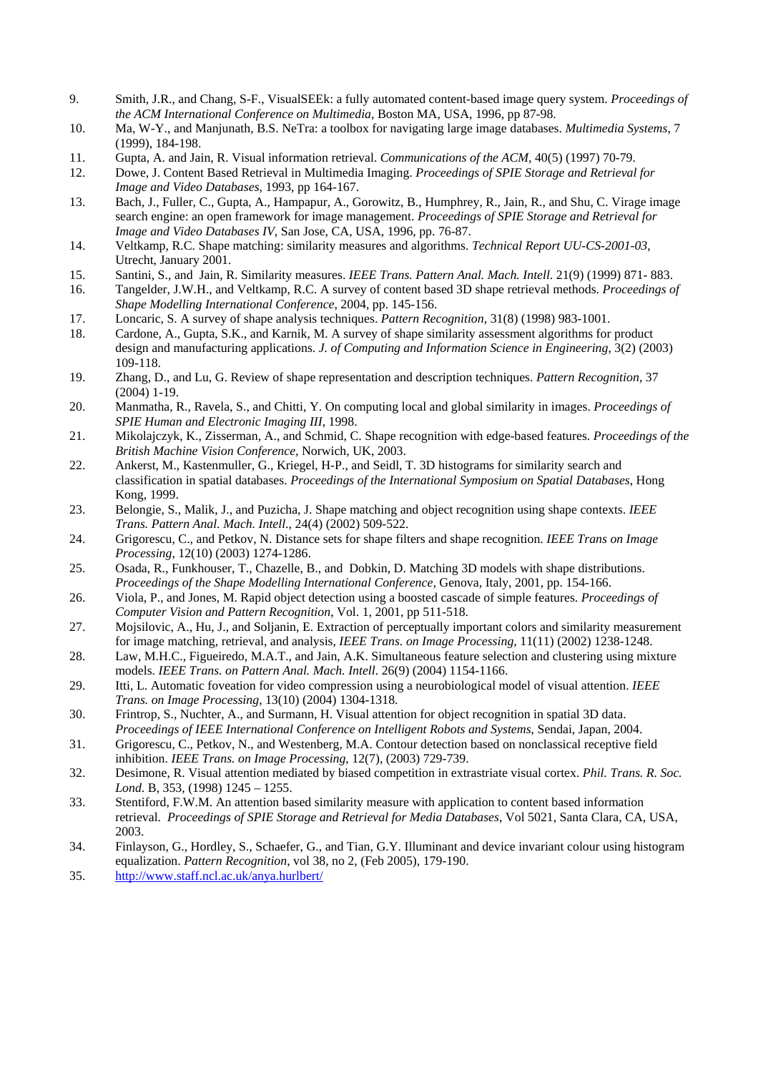- 9. Smith, J.R., and Chang, S-F., VisualSEEk: a fully automated content-based image query system. *Proceedings of the ACM International Conference on Multimedia*, Boston MA, USA, 1996, pp 87-98.
- 10. Ma, W-Y., and Manjunath, B.S. NeTra: a toolbox for navigating large image databases. *Multimedia Systems*, 7 (1999), 184-198.
- 11. Gupta, A. and Jain, R. Visual information retrieval. *Communications of the ACM*, 40(5) (1997) 70-79.
- 12. Dowe, J. Content Based Retrieval in Multimedia Imaging. *Proceedings of SPIE Storage and Retrieval for Image and Video Databases,* 1993, pp 164-167.
- 13. Bach, J., Fuller, C., Gupta, A., Hampapur, A., Gorowitz, B., Humphrey, R., Jain, R., and Shu, C. Virage image search engine: an open framework for image management. *Proceedings of SPIE Storage and Retrieval for Image and Video Databases IV*, San Jose, CA*,* USA, 1996, pp. 76-87.
- 14. Veltkamp, R.C. Shape matching: similarity measures and algorithms. *Technical Report UU-CS-2001-03*, Utrecht, January 2001.
- 15. Santini, S., and Jain, R. Similarity measures. *IEEE Trans. Pattern Anal. Mach. Intell*. 21(9) (1999) 871- 883.
- 16. Tangelder, J.W.H., and Veltkamp, R.C. A survey of content based 3D shape retrieval methods. *Proceedings of Shape Modelling International Conference*, 2004, pp. 145-156.
- 17. Loncaric, S. A survey of shape analysis techniques. *Pattern Recognition*, 31(8) (1998) 983-1001.
- 18. Cardone, A., Gupta, S.K., and Karnik, M. A survey of shape similarity assessment algorithms for product design and manufacturing applications. *J. of Computing and Information Science in Engineering*, 3(2) (2003) 109-118.
- 19. Zhang, D., and Lu, G. Review of shape representation and description techniques. *Pattern Recognition*, 37 (2004) 1-19.
- 20. Manmatha, R., Ravela, S., and Chitti, Y. On computing local and global similarity in images. *Proceedings of SPIE Human and Electronic Imaging III*, 1998.
- 21. Mikolajczyk, K., Zisserman, A., and Schmid, C. Shape recognition with edge-based features. *Proceedings of the British Machine Vision Conference,* Norwich, UK, 2003.
- 22. Ankerst, M., Kastenmuller, G., Kriegel, H-P., and Seidl, T. 3D histograms for similarity search and classification in spatial databases. *Proceedings of the International Symposium on Spatial Databases*, Hong Kong, 1999.
- 23. Belongie, S., Malik, J., and Puzicha, J. Shape matching and object recognition using shape contexts. *IEEE Trans. Pattern Anal. Mach. Intell*., 24(4) (2002) 509-522.
- 24. Grigorescu, C., and Petkov, N. Distance sets for shape filters and shape recognition. *IEEE Trans on Image Processing*, 12(10) (2003) 1274-1286.
- 25. Osada, R., Funkhouser, T., Chazelle, B., and Dobkin, D. Matching 3D models with shape distributions. *Proceedings of the Shape Modelling International Conference,* Genova, Italy, 2001, pp. 154-166.
- 26. Viola, P., and Jones, M. Rapid object detection using a boosted cascade of simple features. *Proceedings of Computer Vision and Pattern Recognition*, Vol. 1, 2001, pp 511-518.
- 27. Mojsilovic, A., Hu, J., and Soljanin, E. Extraction of perceptually important colors and similarity measurement for image matching, retrieval, and analysis, *IEEE Trans. on Image Processing*, 11(11) (2002) 1238-1248.
- 28. Law, M.H.C., Figueiredo, M.A.T., and Jain, A.K. Simultaneous feature selection and clustering using mixture models. *IEEE Trans. on Pattern Anal. Mach. Intell*. 26(9) (2004) 1154-1166.
- 29. Itti, L. Automatic foveation for video compression using a neurobiological model of visual attention. *IEEE Trans. on Image Processing*, 13(10) (2004) 1304-1318.
- 30. Frintrop, S., Nuchter, A., and Surmann, H. Visual attention for object recognition in spatial 3D data. *Proceedings of IEEE International Conference on Intelligent Robots and Systems*, Sendai, Japan, 2004.
- 31. Grigorescu, C., Petkov, N., and Westenberg, M.A. Contour detection based on nonclassical receptive field inhibition. *IEEE Trans. on Image Processing*, 12(7), (2003) 729-739.
- 32. Desimone, R. Visual attention mediated by biased competition in extrastriate visual cortex. *Phil. Trans. R. Soc. Lond*. B, 353, (1998) 1245 – 1255.
- 33. Stentiford, F.W.M. An attention based similarity measure with application to content based information retrieval. *Proceedings of SPIE Storage and Retrieval for Media Databases*, Vol 5021, Santa Clara, CA, USA, 2003.
- 34. Finlayson, G., Hordley, S., Schaefer, G., and Tian, G.Y. Illuminant and device invariant colour using histogram equalization. *Pattern Recognition*, vol 38, no 2, (Feb 2005), 179-190.
- 35. http://www.staff.ncl.ac.uk/anya.hurlbert/